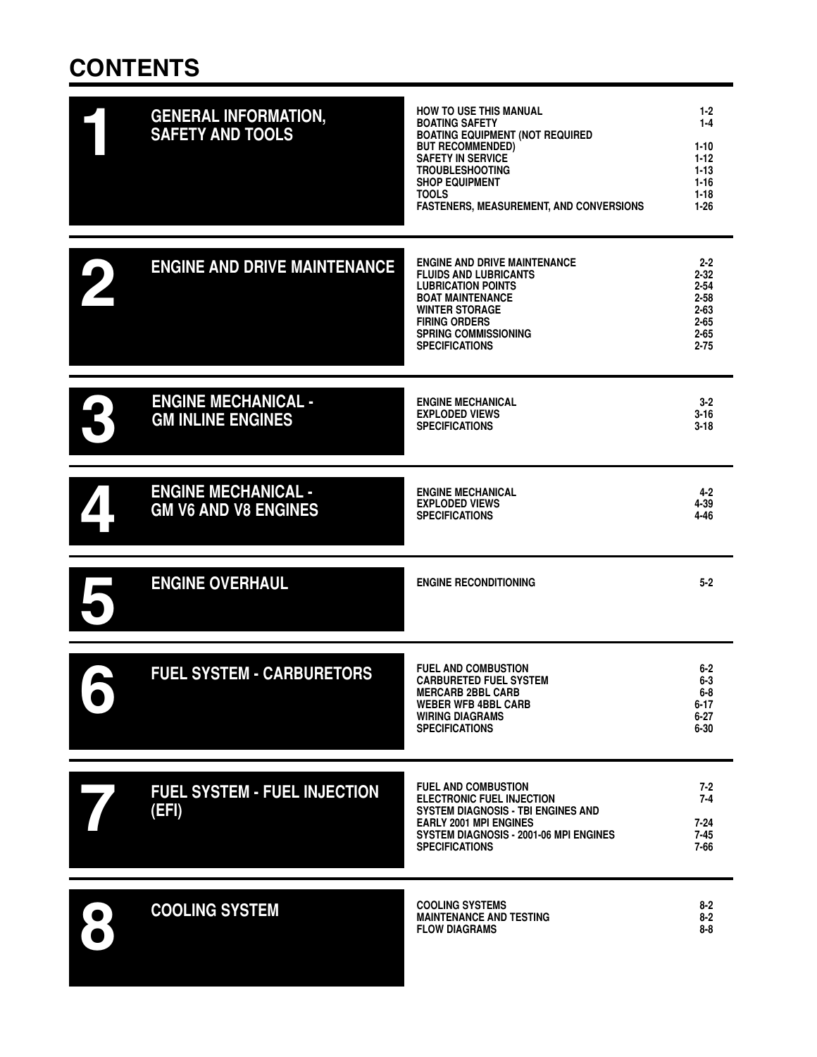# **CONTENTS**

| <b>GENERAL INFORMATION,</b><br><b>SAFETY AND TOOLS</b>    | <b>HOW TO USE THIS MANUAL</b><br><b>BOATING SAFETY</b><br><b>BOATING EQUIPMENT (NOT REQUIRED</b><br><b>BUT RECOMMENDED)</b><br><b>SAFETY IN SERVICE</b><br><b>TROUBLESHOOTING</b><br><b>SHOP EQUIPMENT</b><br><b>TOOLS</b><br><b>FASTENERS, MEASUREMENT, AND CONVERSIONS</b> | $1-2$<br>$1 - 4$<br>$1 - 10$<br>$1 - 12$<br>$1 - 13$<br>$1 - 16$<br>$1 - 18$<br>$1 - 26$    |
|-----------------------------------------------------------|------------------------------------------------------------------------------------------------------------------------------------------------------------------------------------------------------------------------------------------------------------------------------|---------------------------------------------------------------------------------------------|
| <b>ENGINE AND DRIVE MAINTENANCE</b>                       | <b>ENGINE AND DRIVE MAINTENANCE</b><br><b>FLUIDS AND LUBRICANTS</b><br><b>LUBRICATION POINTS</b><br><b>BOAT MAINTENANCE</b><br><b>WINTER STORAGE</b><br><b>FIRING ORDERS</b><br><b>SPRING COMMISSIONING</b><br><b>SPECIFICATIONS</b>                                         | $2 - 2$<br>$2 - 32$<br>$2 - 54$<br>$2 - 58$<br>$2 - 63$<br>$2 - 65$<br>$2 - 65$<br>$2 - 75$ |
| <b>ENGINE MECHANICAL -</b><br><b>GM INLINE ENGINES</b>    | <b>ENGINE MECHANICAL</b><br><b>EXPLODED VIEWS</b><br><b>SPECIFICATIONS</b>                                                                                                                                                                                                   | $3 - 2$<br>$3 - 16$<br>$3-18$                                                               |
| <b>ENGINE MECHANICAL -</b><br><b>GM V6 AND V8 ENGINES</b> | <b>ENGINE MECHANICAL</b><br><b>EXPLODED VIEWS</b><br><b>SPECIFICATIONS</b>                                                                                                                                                                                                   | $4 - 2$<br>4-39<br>4-46                                                                     |
| <b>ENGINE OVERHAUL</b>                                    | <b>ENGINE RECONDITIONING</b>                                                                                                                                                                                                                                                 | $5 - 2$                                                                                     |
| <b>FUEL SYSTEM - CARBURETORS</b>                          | <b>FUEL AND COMBUSTION</b><br><b>CARBURETED FUEL SYSTEM</b><br><b>MERCARB 2BBL CARB</b><br><b>WEBER WFB 4BBL CARB</b><br><b>WIRING DIAGRAMS</b><br><b>SPECIFICATIONS</b>                                                                                                     | $6 - 2$<br>$6-3$<br>$6-8$<br>$6 - 17$<br>6-27<br>$6 - 30$                                   |
| <b>FUEL SYSTEM - FUEL INJECTION</b><br>(EFI)              | <b>FUEL AND COMBUSTION</b><br><b>ELECTRONIC FUEL INJECTION</b><br>SYSTEM DIAGNOSIS - TBI ENGINES AND<br><b>EARLY 2001 MPI ENGINES</b><br>SYSTEM DIAGNOSIS - 2001-06 MPI ENGINES<br><b>SPECIFICATIONS</b>                                                                     | $7 - 2$<br>$7 - 4$<br>$7 - 24$<br>7-45<br>7-66                                              |
| <b>COOLING SYSTEM</b>                                     | <b>COOLING SYSTEMS</b><br><b>MAINTENANCE AND TESTING</b><br><b>FLOW DIAGRAMS</b>                                                                                                                                                                                             | $8 - 2$<br>$8 - 2$<br>$8 - 8$                                                               |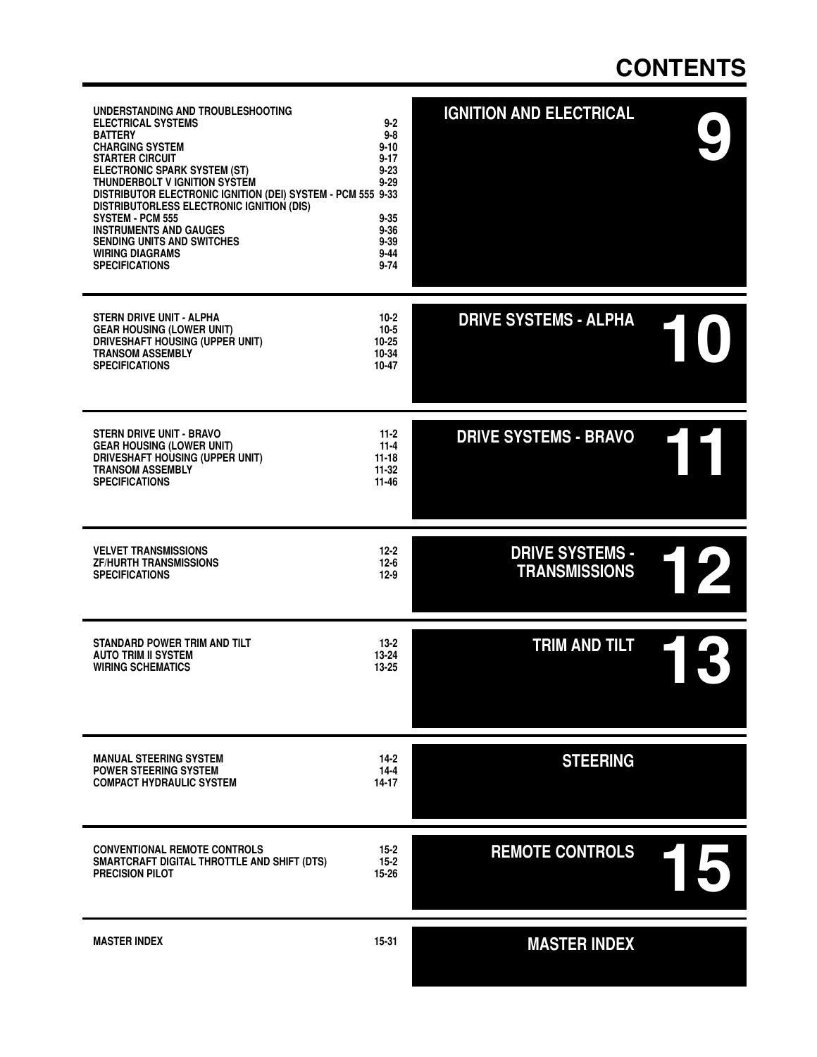#### **CONTENTS**

| UNDERSTANDING AND TROUBLESHOOTING<br><b>ELECTRICAL SYSTEMS</b><br><b>BATTERY</b><br><b>CHARGING SYSTEM</b><br><b>STARTER CIRCUIT</b><br>ELECTRONIC SPARK SYSTEM (ST)<br>THUNDERBOLT V IGNITION SYSTEM<br>DISTRIBUTOR ELECTRONIC IGNITION (DEI) SYSTEM - PCM 555 9-33<br>DISTRIBUTORLESS ELECTRONIC IGNITION (DIS)<br>SYSTEM - PCM 555<br><b>INSTRUMENTS AND GAUGES</b><br><b>SENDING UNITS AND SWITCHES</b><br><b>WIRING DIAGRAMS</b><br><b>SPECIFICATIONS</b> | $9 - 2$<br>$9 - 8$<br>$9 - 10$<br>$9 - 17$<br>$9 - 23$<br>$9 - 29$<br>$9 - 35$<br>$9 - 36$<br>$9 - 39$<br>$9 - 44$<br>$9 - 74$ | <b>IGNITION AND ELECTRICAL</b>                 |  |
|----------------------------------------------------------------------------------------------------------------------------------------------------------------------------------------------------------------------------------------------------------------------------------------------------------------------------------------------------------------------------------------------------------------------------------------------------------------|--------------------------------------------------------------------------------------------------------------------------------|------------------------------------------------|--|
| <b>STERN DRIVE UNIT - ALPHA</b><br><b>GEAR HOUSING (LOWER UNIT)</b><br>DRIVESHAFT HOUSING (UPPER UNIT)<br><b>TRANSOM ASSEMBLY</b><br><b>SPECIFICATIONS</b>                                                                                                                                                                                                                                                                                                     | $10-2$<br>$10 - 5$<br>$10 - 25$<br>10-34<br>10-47                                                                              | <b>DRIVE SYSTEMS - ALPHA</b>                   |  |
| STERN DRIVE UNIT - BRAVO<br><b>GEAR HOUSING (LOWER UNIT)</b><br>DRIVESHAFT HOUSING (UPPER UNIT)<br><b>TRANSOM ASSEMBLY</b><br><b>SPECIFICATIONS</b>                                                                                                                                                                                                                                                                                                            | $11-2$<br>$11 - 4$<br>$11 - 18$<br>$11 - 32$<br>11-46                                                                          | <b>DRIVE SYSTEMS - BRAVO</b>                   |  |
| <b>VELVET TRANSMISSIONS</b><br><b>ZF/HURTH TRANSMISSIONS</b><br><b>SPECIFICATIONS</b>                                                                                                                                                                                                                                                                                                                                                                          | $12 - 2$<br>$12 - 6$<br>$12-9$                                                                                                 | <b>DRIVE SYSTEMS -</b><br><b>TRANSMISSIONS</b> |  |
| <b>STANDARD POWER TRIM AND TILT</b><br><b>AUTO TRIM II SYSTEM</b><br><b>WIRING SCHEMATICS</b>                                                                                                                                                                                                                                                                                                                                                                  | $13 - 2$<br>$13 - 24$<br>13-25                                                                                                 | TRIM AND TILT                                  |  |
| <b>MANUAL STEERING SYSTEM</b><br><b>POWER STEERING SYSTEM</b><br><b>COMPACT HYDRAULIC SYSTEM</b>                                                                                                                                                                                                                                                                                                                                                               | 14-2<br>$14 - 4$<br>14-17                                                                                                      | <b>STEERING</b>                                |  |
| <b>CONVENTIONAL REMOTE CONTROLS</b><br>SMARTCRAFT DIGITAL THROTTLE AND SHIFT (DTS)<br><b>PRECISION PILOT</b>                                                                                                                                                                                                                                                                                                                                                   | $15 - 2$<br>$15 - 2$<br>15-26                                                                                                  | <b>REMOTE CONTROLS</b>                         |  |
| <b>MASTER INDEX</b>                                                                                                                                                                                                                                                                                                                                                                                                                                            | $15 - 31$                                                                                                                      | <b>MASTER INDEX</b>                            |  |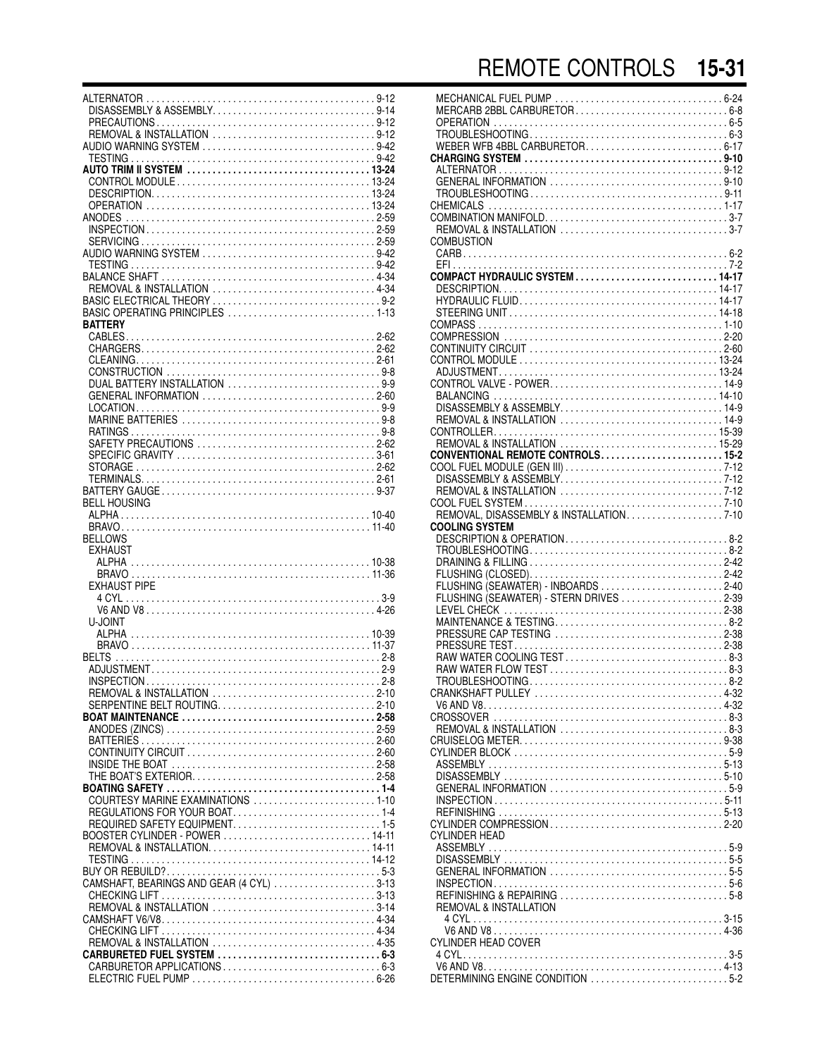| DISASSEMBLY & ASSEMBLY9-14               |  |
|------------------------------------------|--|
|                                          |  |
|                                          |  |
|                                          |  |
|                                          |  |
|                                          |  |
|                                          |  |
|                                          |  |
|                                          |  |
|                                          |  |
|                                          |  |
|                                          |  |
|                                          |  |
|                                          |  |
|                                          |  |
|                                          |  |
|                                          |  |
|                                          |  |
|                                          |  |
|                                          |  |
|                                          |  |
| BASIC OPERATING PRINCIPLES 1-13          |  |
| <b>BATTERY</b>                           |  |
|                                          |  |
|                                          |  |
|                                          |  |
|                                          |  |
|                                          |  |
| DUAL BATTERY INSTALLATION 9-9            |  |
|                                          |  |
| GENERAL INFORMATION 2-60                 |  |
|                                          |  |
|                                          |  |
|                                          |  |
|                                          |  |
| SAFETY PRECAUTIONS 2-62                  |  |
|                                          |  |
|                                          |  |
|                                          |  |
|                                          |  |
|                                          |  |
| <b>BELL HOUSING</b>                      |  |
|                                          |  |
|                                          |  |
|                                          |  |
|                                          |  |
| <b>BELLOWS</b>                           |  |
|                                          |  |
| <b>EXHAUST</b>                           |  |
|                                          |  |
|                                          |  |
| <b>EXHAUST PIPE</b>                      |  |
|                                          |  |
|                                          |  |
|                                          |  |
| U-JOINT                                  |  |
|                                          |  |
|                                          |  |
|                                          |  |
|                                          |  |
|                                          |  |
|                                          |  |
|                                          |  |
| REMOVAL & INSTALLATION 2-10              |  |
| SERPENTINE BELT ROUTING2-10              |  |
|                                          |  |
|                                          |  |
|                                          |  |
|                                          |  |
|                                          |  |
|                                          |  |
|                                          |  |
|                                          |  |
|                                          |  |
| COURTESY MARINE EXAMINATIONS 1-10        |  |
|                                          |  |
|                                          |  |
|                                          |  |
|                                          |  |
|                                          |  |
|                                          |  |
|                                          |  |
|                                          |  |
| CAMSHAFT, BEARINGS AND GEAR (4 CYL) 3-13 |  |
|                                          |  |
| REMOVAL & INSTALLATION 3-14              |  |
|                                          |  |
|                                          |  |
|                                          |  |
| REMOVAL & INSTALLATION 4-35              |  |
|                                          |  |
|                                          |  |
|                                          |  |

| OPERATION<br><b>COMBUSTION</b>                     |                                                                                                                  |
|----------------------------------------------------|------------------------------------------------------------------------------------------------------------------|
| COOLING SYSTEM                                     | COMPACT HYDRAULIC SYSTEM 14-17<br>CONVENTIONAL REMOTE CONTROLS 15-2<br>REMOVAL, DISASSEMBLY & INSTALLATION. 7-10 |
|                                                    | FLUSHING (SEAWATER) - STERN DRIVES 2-39<br>PRESSURE CAP TESTING 2-38<br>RAW WATER COOLING TEST8-3                |
| CYLINDER HEAD<br><b>REMOVAL &amp; INSTALLATION</b> |                                                                                                                  |
| CYLINDER HEAD COVER                                |                                                                                                                  |
|                                                    |                                                                                                                  |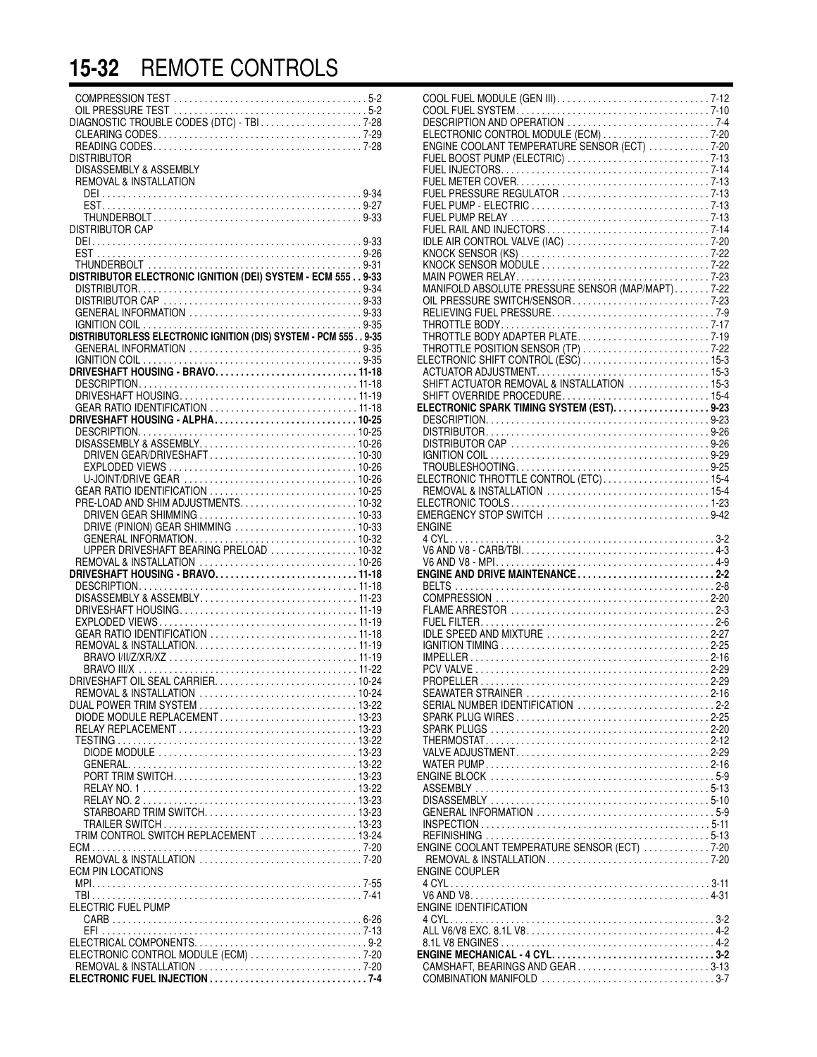## **15-32** REMOTE CONTROLS

| OIL PRESSURE TEST<br>DIAGNOSTIC TROUBLE CODES (DTC) - TBI 7-28 |  |
|----------------------------------------------------------------|--|
|                                                                |  |
|                                                                |  |
| <b>DISTRIBUTOR</b><br>DISASSEMBLY & ASSEMBLY                   |  |
| <b>REMOVAL &amp; INSTALLATION</b>                              |  |
|                                                                |  |
|                                                                |  |
| DISTRIBUTOR CAP                                                |  |
|                                                                |  |
|                                                                |  |
| DISTRIBUTOR ELECTRONIC IGNITION (DEI) SYSTEM - ECM 5559-33     |  |
|                                                                |  |
|                                                                |  |
| GENERAL INFORMATION 9-33                                       |  |
|                                                                |  |
|                                                                |  |
|                                                                |  |
|                                                                |  |
|                                                                |  |
|                                                                |  |
|                                                                |  |
|                                                                |  |
| DRIVEN GEAR/DRIVESHAFT10-30                                    |  |
|                                                                |  |
| GEAR RATIO IDENTIFICATION  10-25                               |  |
| PRE-LOAD AND SHIM ADJUSTMENTS 10-32                            |  |
|                                                                |  |
|                                                                |  |
| UPPER DRIVESHAFT BEARING PRELOAD  10-32                        |  |
|                                                                |  |
|                                                                |  |
| DISASSEMBLY & ASSEMBLY11-23                                    |  |
|                                                                |  |
|                                                                |  |
|                                                                |  |
|                                                                |  |
|                                                                |  |
|                                                                |  |
| DUAL POWER TRIM SYSTEM  13-22                                  |  |
| DIODE MODULE REPLACEMENT13-23                                  |  |
|                                                                |  |
|                                                                |  |
|                                                                |  |
|                                                                |  |
|                                                                |  |
|                                                                |  |
|                                                                |  |
| TRIM CONTROL SWITCH REPLACEMENT  13-24                         |  |
|                                                                |  |
| <b>ECM PIN LOCATIONS</b>                                       |  |
|                                                                |  |
| ELECTRIC FUEL PUMP                                             |  |
|                                                                |  |
|                                                                |  |
| ELECTRONIC CONTROL MODULE (ECM) 7-20                           |  |
|                                                                |  |
|                                                                |  |
|                                                                |  |

| ELECTRONIC CONTROL MODULE (ECM) 7-20<br>ENGINE COOLANT TEMPERATURE SENSOR (ECT) 7-20 |  |
|--------------------------------------------------------------------------------------|--|
|                                                                                      |  |
|                                                                                      |  |
|                                                                                      |  |
|                                                                                      |  |
|                                                                                      |  |
|                                                                                      |  |
|                                                                                      |  |
|                                                                                      |  |
|                                                                                      |  |
|                                                                                      |  |
|                                                                                      |  |
|                                                                                      |  |
|                                                                                      |  |
|                                                                                      |  |
|                                                                                      |  |
|                                                                                      |  |
| SHIFT OVERRIDE PROCEDURE 15-4                                                        |  |
| ELECTRONIC SPARK TIMING SYSTEM (EST). 9-23                                           |  |
|                                                                                      |  |
|                                                                                      |  |
|                                                                                      |  |
|                                                                                      |  |
| ELECTRONIC THROTTLE CONTROL (ETC)15-4                                                |  |
|                                                                                      |  |
| EMERGENCY STOP SWITCH 9-42                                                           |  |
| <b>ENGINE</b>                                                                        |  |
|                                                                                      |  |
|                                                                                      |  |
| ENGINE AND DRIVE MAINTENANCE2-2                                                      |  |
|                                                                                      |  |
|                                                                                      |  |
|                                                                                      |  |
|                                                                                      |  |
|                                                                                      |  |
|                                                                                      |  |
|                                                                                      |  |
|                                                                                      |  |
|                                                                                      |  |
|                                                                                      |  |
|                                                                                      |  |
|                                                                                      |  |
|                                                                                      |  |
|                                                                                      |  |
|                                                                                      |  |
|                                                                                      |  |
|                                                                                      |  |
| ENGINE COOLANT TEMPERATURE SENSOR (ECT) 7-20                                         |  |
|                                                                                      |  |
| ENGINE COUPLER                                                                       |  |
|                                                                                      |  |
| <b>ENGINE IDENTIFICATION</b>                                                         |  |
|                                                                                      |  |
|                                                                                      |  |
| ENGINE MECHANICAL - 4 CYL3-2                                                         |  |
| CAMSHAFT, BEARINGS AND GEAR3-13                                                      |  |
|                                                                                      |  |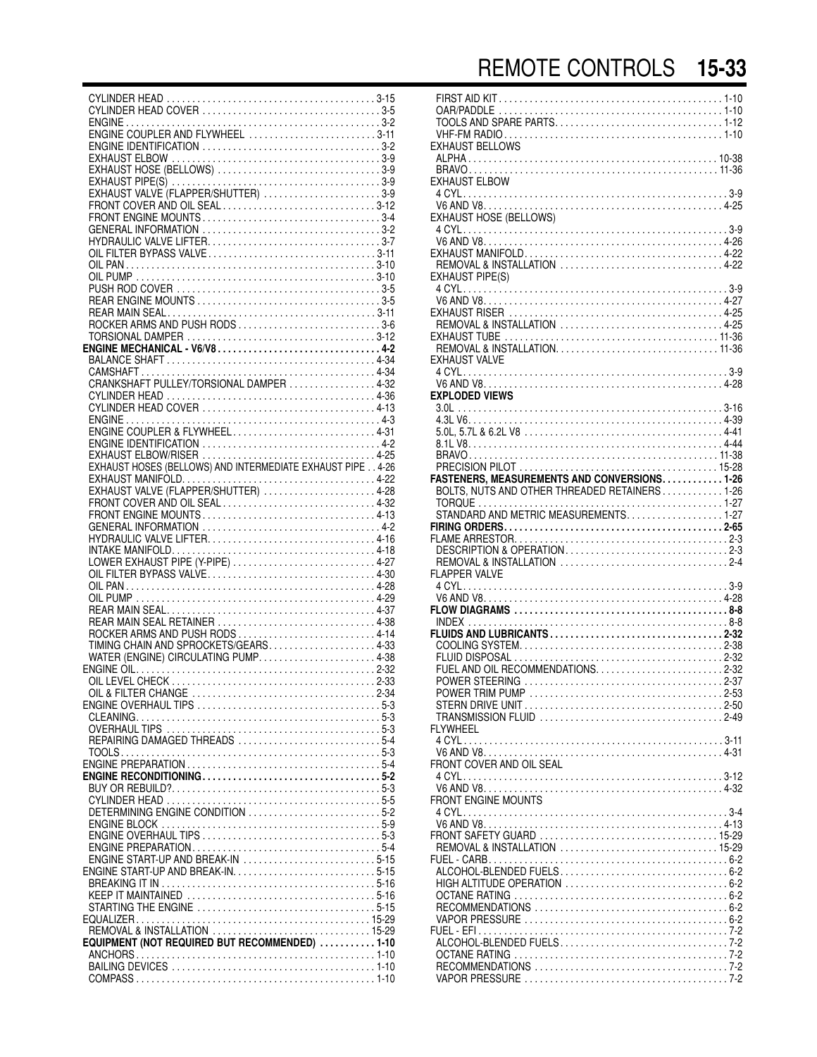| EXHAUST HOSE (BELLOWS) 3-9                                 |  |
|------------------------------------------------------------|--|
|                                                            |  |
| EXHAUST VALVE (FLAPPER/SHUTTER) 3-9                        |  |
| FRONT COVER AND OIL SEAL3-12                               |  |
|                                                            |  |
|                                                            |  |
|                                                            |  |
|                                                            |  |
|                                                            |  |
|                                                            |  |
|                                                            |  |
|                                                            |  |
|                                                            |  |
|                                                            |  |
| ROCKER ARMS AND PUSH RODS 3-6                              |  |
|                                                            |  |
|                                                            |  |
|                                                            |  |
|                                                            |  |
|                                                            |  |
|                                                            |  |
|                                                            |  |
|                                                            |  |
|                                                            |  |
|                                                            |  |
|                                                            |  |
| EXHAUST ELBOW/RISER 4-25                                   |  |
|                                                            |  |
| EXHAUST HOSES (BELLOWS) AND INTERMEDIATE EXHAUST PIPE 4-26 |  |
|                                                            |  |
| EXHAUST VALVE (FLAPPER/SHUTTER) 4-28                       |  |
|                                                            |  |
| FRONT ENGINE MOUNTS4-13                                    |  |
|                                                            |  |
|                                                            |  |
|                                                            |  |
|                                                            |  |
|                                                            |  |
| LOWER EXHAUST PIPE (Y-PIPE) 4-27                           |  |
|                                                            |  |
|                                                            |  |
|                                                            |  |
|                                                            |  |
| REAR MAIN SEAL RETAINER 4-38                               |  |
| ROCKER ARMS AND PUSH RODS 4-14                             |  |
|                                                            |  |
| TIMING CHAIN AND SPROCKETS/GEARS4-33                       |  |
| WATER (ENGINE) CIRCULATING PUMP4-38                        |  |
|                                                            |  |
|                                                            |  |
|                                                            |  |
|                                                            |  |
|                                                            |  |
|                                                            |  |
| REPAIRING DAMAGED THREADS 5-4                              |  |
|                                                            |  |
|                                                            |  |
|                                                            |  |
|                                                            |  |
|                                                            |  |
|                                                            |  |
| DETERMINING ENGINE CONDITION 5-2                           |  |
|                                                            |  |
|                                                            |  |
|                                                            |  |
| ENGINE START-UP AND BREAK-IN 5-15                          |  |
|                                                            |  |
|                                                            |  |
|                                                            |  |
| STARTING THE ENGINE 5-15                                   |  |
|                                                            |  |
|                                                            |  |
|                                                            |  |
| EQUIPMENT (NOT REQUIRED BUT RECOMMENDED) 1-10              |  |
|                                                            |  |
|                                                            |  |

| EXHAUST BELLOWS                                                                                |  |  |  |  |  |
|------------------------------------------------------------------------------------------------|--|--|--|--|--|
| <b>EXHAUST ELBOW</b>                                                                           |  |  |  |  |  |
| EXHAUST HOSE (BELLOWS)                                                                         |  |  |  |  |  |
|                                                                                                |  |  |  |  |  |
| EXHAUST PIPE(S)                                                                                |  |  |  |  |  |
| REMOVAL & INSTALLATION  4-25                                                                   |  |  |  |  |  |
| EXHAUST VALVE                                                                                  |  |  |  |  |  |
| <b>EXPLODED VIEWS</b>                                                                          |  |  |  |  |  |
|                                                                                                |  |  |  |  |  |
|                                                                                                |  |  |  |  |  |
|                                                                                                |  |  |  |  |  |
|                                                                                                |  |  |  |  |  |
|                                                                                                |  |  |  |  |  |
| BOLTS, NUTS AND OTHER THREADED RETAINERS1-26                                                   |  |  |  |  |  |
|                                                                                                |  |  |  |  |  |
| STANDARD AND METRIC MEASUREMENTS1-27                                                           |  |  |  |  |  |
|                                                                                                |  |  |  |  |  |
|                                                                                                |  |  |  |  |  |
|                                                                                                |  |  |  |  |  |
| DESCRIPTION & OPERATION2-3                                                                     |  |  |  |  |  |
|                                                                                                |  |  |  |  |  |
| FLAPPER VALVE                                                                                  |  |  |  |  |  |
|                                                                                                |  |  |  |  |  |
|                                                                                                |  |  |  |  |  |
|                                                                                                |  |  |  |  |  |
|                                                                                                |  |  |  |  |  |
|                                                                                                |  |  |  |  |  |
|                                                                                                |  |  |  |  |  |
|                                                                                                |  |  |  |  |  |
|                                                                                                |  |  |  |  |  |
|                                                                                                |  |  |  |  |  |
|                                                                                                |  |  |  |  |  |
| FI YWHFFI                                                                                      |  |  |  |  |  |
|                                                                                                |  |  |  |  |  |
|                                                                                                |  |  |  |  |  |
| FRONT COVER AND OIL SEAL                                                                       |  |  |  |  |  |
|                                                                                                |  |  |  |  |  |
| FRONT ENGINE MOUNTS                                                                            |  |  |  |  |  |
|                                                                                                |  |  |  |  |  |
|                                                                                                |  |  |  |  |  |
|                                                                                                |  |  |  |  |  |
|                                                                                                |  |  |  |  |  |
|                                                                                                |  |  |  |  |  |
|                                                                                                |  |  |  |  |  |
|                                                                                                |  |  |  |  |  |
|                                                                                                |  |  |  |  |  |
|                                                                                                |  |  |  |  |  |
|                                                                                                |  |  |  |  |  |
|                                                                                                |  |  |  |  |  |
| RECOMMENDATIONS $\ldots \ldots \ldots \ldots \ldots \ldots \ldots \ldots \ldots \ldots \ldots$ |  |  |  |  |  |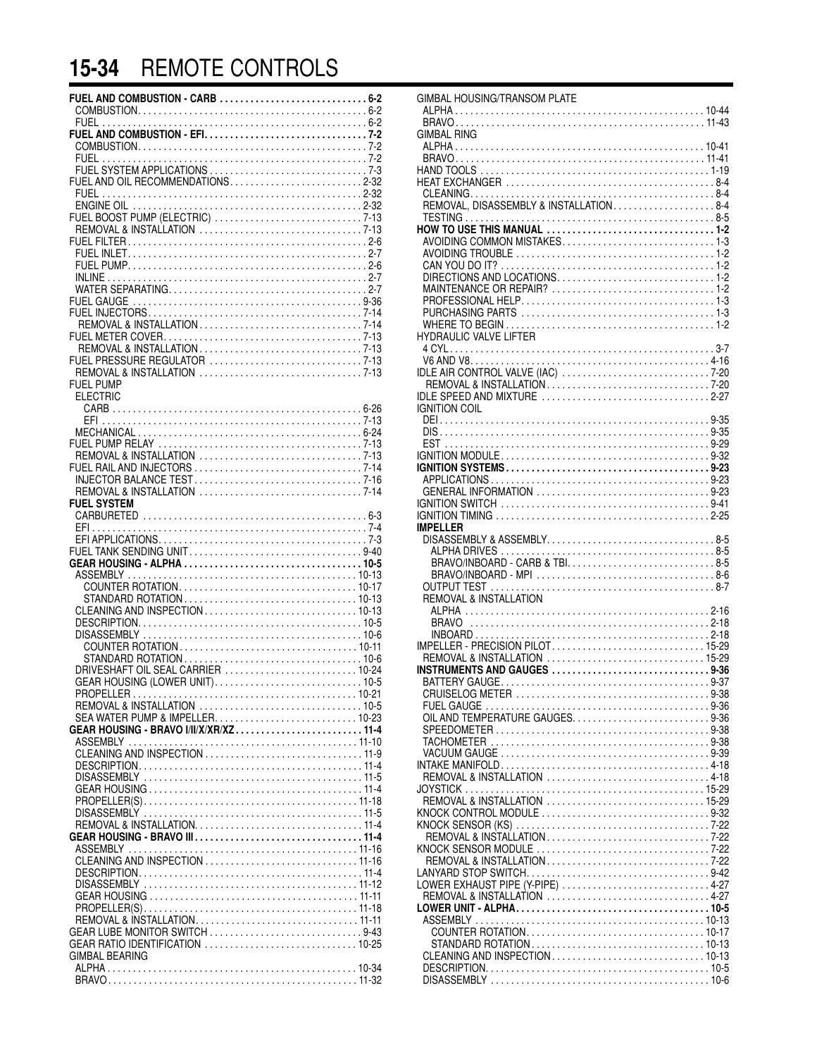# **15-34** REMOTE CONTROLS

| FUEL AND OIL RECOMMENDATIONS2-32      |  |
|---------------------------------------|--|
|                                       |  |
|                                       |  |
|                                       |  |
|                                       |  |
|                                       |  |
|                                       |  |
|                                       |  |
|                                       |  |
|                                       |  |
|                                       |  |
|                                       |  |
|                                       |  |
| <b>FUEL PUMP</b>                      |  |
| <b>ELECTRIC</b>                       |  |
|                                       |  |
|                                       |  |
|                                       |  |
|                                       |  |
|                                       |  |
|                                       |  |
| <b>FUEL SYSTEM</b>                    |  |
|                                       |  |
|                                       |  |
| FUEL TANK SENDING UNIT9-40            |  |
|                                       |  |
|                                       |  |
|                                       |  |
|                                       |  |
|                                       |  |
|                                       |  |
|                                       |  |
| DRIVESHAFT OIL SEAL CARRIER  10-24    |  |
| GEAR HOUSING (LOWER UNIT) 10-5        |  |
|                                       |  |
|                                       |  |
| GEAR HOUSING - BRAVO I/II/X/XR/XZ11-4 |  |
|                                       |  |
|                                       |  |
|                                       |  |
|                                       |  |
|                                       |  |
|                                       |  |
|                                       |  |
|                                       |  |
|                                       |  |
|                                       |  |
|                                       |  |
|                                       |  |
| GEAR LUBE MONITOR SWITCH 9-43         |  |
| <b>GIMBAL BEARING</b>                 |  |
|                                       |  |
|                                       |  |

| GIMBAL HOUSING/TRANSOM PLATE           |  |
|----------------------------------------|--|
|                                        |  |
|                                        |  |
| GIMBAL RING                            |  |
|                                        |  |
|                                        |  |
|                                        |  |
|                                        |  |
|                                        |  |
| REMOVAL, DISASSEMBLY & INSTALLATION8-4 |  |
|                                        |  |
|                                        |  |
| AVOIDING COMMON MISTAKES1-3            |  |
|                                        |  |
|                                        |  |
|                                        |  |
|                                        |  |
|                                        |  |
|                                        |  |
|                                        |  |
| <b>HYDRAULIC VALVE LIFTER</b>          |  |
|                                        |  |
|                                        |  |
|                                        |  |
|                                        |  |
| IDLE SPEED AND MIXTURE 2-27            |  |
| <b>IGNITION COIL</b>                   |  |
|                                        |  |
|                                        |  |
|                                        |  |
|                                        |  |
|                                        |  |
|                                        |  |
| GENERAL INFORMATION 9-23               |  |
|                                        |  |
|                                        |  |
| <b>IMPELLER</b>                        |  |
|                                        |  |
|                                        |  |
| BRAVO/INBOARD - CARB & TBI 8-5         |  |
|                                        |  |
|                                        |  |
| <b>REMOVAL &amp; INSTALLATION</b>      |  |
|                                        |  |
|                                        |  |
|                                        |  |
|                                        |  |
|                                        |  |
| INSTRUMENTS AND GAUGES 9-36            |  |
|                                        |  |
|                                        |  |
|                                        |  |
|                                        |  |
|                                        |  |
|                                        |  |
|                                        |  |
|                                        |  |
| REMOVAL & INSTALLATION 4-18            |  |
|                                        |  |
|                                        |  |
| KNOCK CONTROL MODULE 9-32              |  |
|                                        |  |
|                                        |  |
|                                        |  |
| REMOVAL & INSTALLATION7-22             |  |
|                                        |  |
| LOWER EXHAUST PIPE (Y-PIPE) 4-27       |  |
| REMOVAL & INSTALLATION  4-27           |  |
|                                        |  |
|                                        |  |
|                                        |  |
|                                        |  |
|                                        |  |
|                                        |  |
|                                        |  |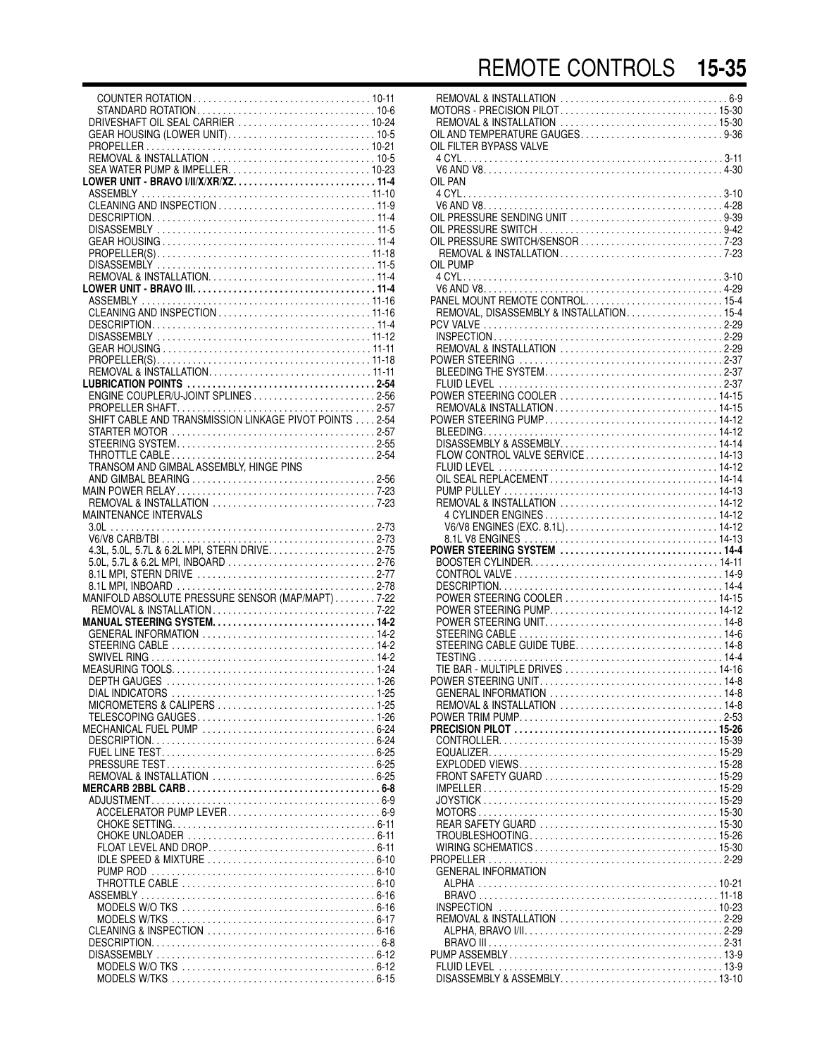COUNTER ROTATION . . . . . . . . . . . . . . . . . . . . . . . . . . . . . . . . . . . 10-11 STANDARD ROTATION . . . . . . . . . . . . . . . . . . . . . . . . . . . . . . . . . . . 10-6 DRIVESHAFT OIL SEAL CARRIER . . . . . . . . . . . . . . . . . . . . . . . . . . 10-24 GEAR HOUSING (LOWER UNIT). . . . . . . . . . . . . . . . . . . . . . . . . . . . . 10-5 PROPELLER . . . . . . . . . . . . . . . . . . . . . . . . . . . . . . . . . . . . . . . . . . . . 10-21 REMOVAL & INSTALLATION . . . . . . . . . . . . . . . . . . . . . . . . . . . . . . . . 10-5 SEA WATER PUMP & IMPELLER. . . . . . . . . . . . . . . . . . . . . . . . . . . . 10-23 **LOWER UNIT - BRAVO I/II/X/XR/XZ. . . . . . . . . . . . . . . . . . . . . . . . . . . . 11-4** ASSEMBLY . . . . . . . . . . . . . . . . . . . . . . . . . . . . . . . . . . . . . . . . . . . . . 11-10 CLEANING AND INSPECTION . . . . . . . . . . . . . . . . . . . . . . . . . . . . . . . 11-9 DESCRIPTION. . . . . . . . . . . . . . . . . . . . . . . . . . . . . . . . . . . . . . . . . . . . 11-4 DISASSEMBLY . . . . . . . . . . . . . . . . . . . . . . . . . . . . . . . . . . . . . . . . . . . 11-5 GEAR HOUSING . . . . . . . . . . . . . . . . . . . . . . . . . . . . . . . . . . . . . . . . . . 11-4 PROPELLER(S) . . . . . . . . . . . . . . . . . . . . . . . . . . . . . . . . . . . . . . . . . . 11-18 DISASSEMBLY . . . . . . . . . . . . . . . . . . . . . . . . . . . . . . . . . . . . . . . . . . . 11-5 REMOVAL & INSTALLATION. . . . . . . . . . . . . . . . . . . . . . . . . . . . . . . . . 11-4 **LOWER UNIT - BRAVO III. . . . . . . . . . . . . . . . . . . . . . . . . . . . . . . . . . . . 11-4** ASSEMBLY . . . . . . . . . . . . . . . . . . . . . . . . . . . . . . . . . . . . . . . . . . . . . 11-16 CLEANING AND INSPECTION . . . . . . . . . . . . . . . . . . . . . . . . . . . . . . 11-16 DESCRIPTION. . . . . . . . . . . . . . . . . . . . . . . . . . . . . . . . . . . . . . . . . . . . 11-4 DISASSEMBLY . . . . . . . . . . . . . . . . . . . . . . . . . . . . . . . . . . . . . . . . . . 11-12 GEAR HOUSING . . . . . . . . . . . . . . . . . . . . . . . . . . . . . . . . . . . . . . . . . 11-11 PROPELLER(S) . . . . . . . . . . . . . . . . . . . . . . . . . . . . . . . . . . . . . . . . . . 11-18 REMOVAL & INSTALLATION. . . . . . . . . . . . . . . . . . . . . . . . . . . . . . . . 11-11 **LUBRICATION POINTS . . . . . . . . . . . . . . . . . . . . . . . . . . . . . . . . . . . . . 2-54** ENGINE COUPLER/U-JOINT SPLINES . . . . . . . . . . . . . . . . . . . . . . . . 2-56 PROPELLER SHAFT. . . . . . . . . . . . . . . . . . . . . . . . . . . . . . . . . . . . . . . 2-57 SHIFT CABLE AND TRANSMISSION LINKAGE PIVOT POINTS . . . . 2-54 STARTER MOTOR . . . . . . . . . . . . . . . . . . . . . . . . . . . . . . . . . . . . . . . . 2-57 STEERING SYSTEM. . . . . . . . . . . . . . . . . . . . . . . . . . . . . . . . . . . . . . . 2-55 THROTTLE CABLE . . . . . . . . . . . . . . . . . . . . . . . . . . . . . . . . . . . . . . . . 2-54 TRANSOM AND GIMBAL ASSEMBLY, HINGE PINS AND GIMBAL BEARING . . . . . . . . . . . . . . . . . . . . . . . . . . . . . . . . . . . . 2-56 MAIN POWER RELAY . . . . . . . . . . . . . . . . . . . . . . . . . . . . . . . . . . . . . . . 7-23 REMOVAL & INSTALLATION . . . . . . . . . . . . . . . . . . . . . . . . . . . . . . . . 7-23 MAINTENANCE INTERVALS 3.0L . . . . . . . . . . . . . . . . . . . . . . . . . . . . . . . . . . . . . . . . . . . . . . . . . . . . 2-73 V6/V8 CARB/TBI . . . . . . . . . . . . . . . . . . . . . . . . . . . . . . . . . . . . . . . . . . 2-73 4.3L, 5.0L, 5.7L & 6.2L MPI, STERN DRIVE. . . . . . . . . . . . . . . . . . . . . 2-75 5.0L, 5.7L & 6.2L MPI, INBOARD . . . . . . . . . . . . . . . . . . . . . . . . . . . . . 2-76 8.1L MPI, STERN DRIVE . . . . . . . . . . . . . . . . . . . . . . . . . . . . . . . . . . . 2-77 8.1L MPI, INBOARD . . . . . . . . . . . . . . . . . . . . . . . . . . . . . . . . . . . . . . . 2-78 MANIFOLD ABSOLUTE PRESSURE SENSOR (MAP/MAPT) . . . . . . . . 7-22 REMOVAL & INSTALLATION . . . . . . . . . . . . . . . . . . . . . . . . . . . . . . . . 7-22 **MANUAL STEERING SYSTEM. . . . . . . . . . . . . . . . . . . . . . . . . . . . . . . . 14-2** GENERAL INFORMATION . . . . . . . . . . . . . . . . . . . . . . . . . . . . . . . . . . 14-2 STEERING CABLE . . . . . . . . . . . . . . . . . . . . . . . . . . . . . . . . . . . . . . . . 14-2 SWIVEL RING . . . . . . . . . . . . . . . . . . . . . . . . . . . . . . . . . . . . . . . . . . . . 14-2 MEASURING TOOLS. . . . . . . . . . . . . . . . . . . . . . . . . . . . . . . . . . . . . . . . 1-24 DEPTH GAUGES . . . . . . . . . . . . . . . . . . . . . . . . . . . . . . . . . . . . . . . . . 1-26 DIAL INDICATORS . . . . . . . . . . . . . . . . . . . . . . . . . . . . . . . . . . . . . . . . 1-25 MICROMETERS & CALIPERS . . . . . . . . . . . . . . . . . . . . . . . . . . . . . . . 1-25 TELESCOPING GAUGES . . . . . . . . . . . . . . . . . . . . . . . . . . . . . . . . . . . 1-26 MECHANICAL FUEL PUMP . . . . . . . . . . . . . . . . . . . . . . . . . . . . . . . . . . 6-24 DESCRIPTION. . . . . . . . . . . . . . . . . . . . . . . . . . . . . . . . . . . . . . . . . . . . 6-24 FUEL LINE TEST. . . . . . . . . . . . . . . . . . . . . . . . . . . . . . . . . . . . . . . . . . 6-25 PRESSURE TEST . . . . . . . . . . . . . . . . . . . . . . . . . . . . . . . . . . . . . . . . . 6-25 REMOVAL & INSTALLATION . . . . . . . . . . . . . . . . . . . . . . . . . . . . . . . . 6-25 **MERCARB 2BBL CARB . . . . . . . . . . . . . . . . . . . . . . . . . . . . . . . . . . . . . . 6-8** ADJUSTMENT. . . . . . . . . . . . . . . . . . . . . . . . . . . . . . . . . . . . . . . . . . . . . 6-9 ACCELERATOR PUMP LEVER . . . . . . . . . . . . . . . . . . . . . . . . . . . . . . 6-9 CHOKE SETTING. . . . . . . . . . . . . . . . . . . . . . . . . . . . . . . . . . . . . . . . 6-11 CHOKE UNLOADER . . . . . . . . . . . . . . . . . . . . . . . . . . . . . . . . . . . . . 6-11 FLOAT LEVEL AND DROP. . . . . . . . . . . . . . . . . . . . . . . . . . . . . . . . . 6-11 IDLE SPEED & MIXTURE . . . . . . . . . . . . . . . . . . . . . . . . . . . . . . . . . 6-10 PUMP ROD . . . . . . . . . . . . . . . . . . . . . . . . . . . . . . . . . . . . . . . . . . . . 6-10 THROTTLE CABLE . . . . . . . . . . . . . . . . . . . . . . . . . . . . . . . . . . . . . . 6-10 ASSEMBLY . . . . . . . . . . . . . . . . . . . . . . . . . . . . . . . . . . . . . . . . . . . . . . 6-16 MODELS W/O TKS . . . . . . . . . . . . . . . . . . . . . . . . . . . . . . . . . . . . . . 6-16 MODELS W/TKS . . . . . . . . . . . . . . . . . . . . . . . . . . . . . . . . . . . . . . . . 6-17 CLEANING & INSPECTION . . . . . . . . . . . . . . . . . . . . . . . . . . . . . . . . . 6-16 DESCRIPTION. . . . . . . . . . . . . . . . . . . . . . . . . . . . . . . . . . . . . . . . . . . . . 6-8 DISASSEMBLY . . . . . . . . . . . . . . . . . . . . . . . . . . . . . . . . . . . . . . . . . . . 6-12 MODELS W/O TKS . . . . . . . . . . . . . . . . . . . . . . . . . . . . . . . . . . . . . . 6-12

MODELS W/TKS . . . . . . . . . . . . . . . . . . . . . . . . . . . . . . . . . . . . . . . . 6-15

| OIL FILTER BYPASS VALVE                                                       |  |
|-------------------------------------------------------------------------------|--|
| OIL PAN                                                                       |  |
| OIL PRESSURE SENDING UNIT 9-39<br>OIL PRESSURE SWITCH/SENSOR 7-23<br>OIL PUMP |  |
|                                                                               |  |
| PANEL MOUNT REMOTE CONTROL15-4<br>REMOVAL, DISASSEMBLY & INSTALLATION15-4     |  |
| REMOVAL & INSTALLATION 2-29                                                   |  |
|                                                                               |  |
|                                                                               |  |
|                                                                               |  |
| FLOW CONTROL VALVE SERVICE  14-13                                             |  |
|                                                                               |  |
|                                                                               |  |
| POWER STEERING SYSTEM 14-4                                                    |  |
|                                                                               |  |
| POWER STEERING COOLER  14-15                                                  |  |
| STEERING CABLE GUIDE TUBE 14-8                                                |  |
|                                                                               |  |
| REMOVAL & INSTALLATION 14-8                                                   |  |
|                                                                               |  |
|                                                                               |  |
|                                                                               |  |
|                                                                               |  |
| <b>GENERAL INFORMATION</b>                                                    |  |
|                                                                               |  |
|                                                                               |  |
|                                                                               |  |
|                                                                               |  |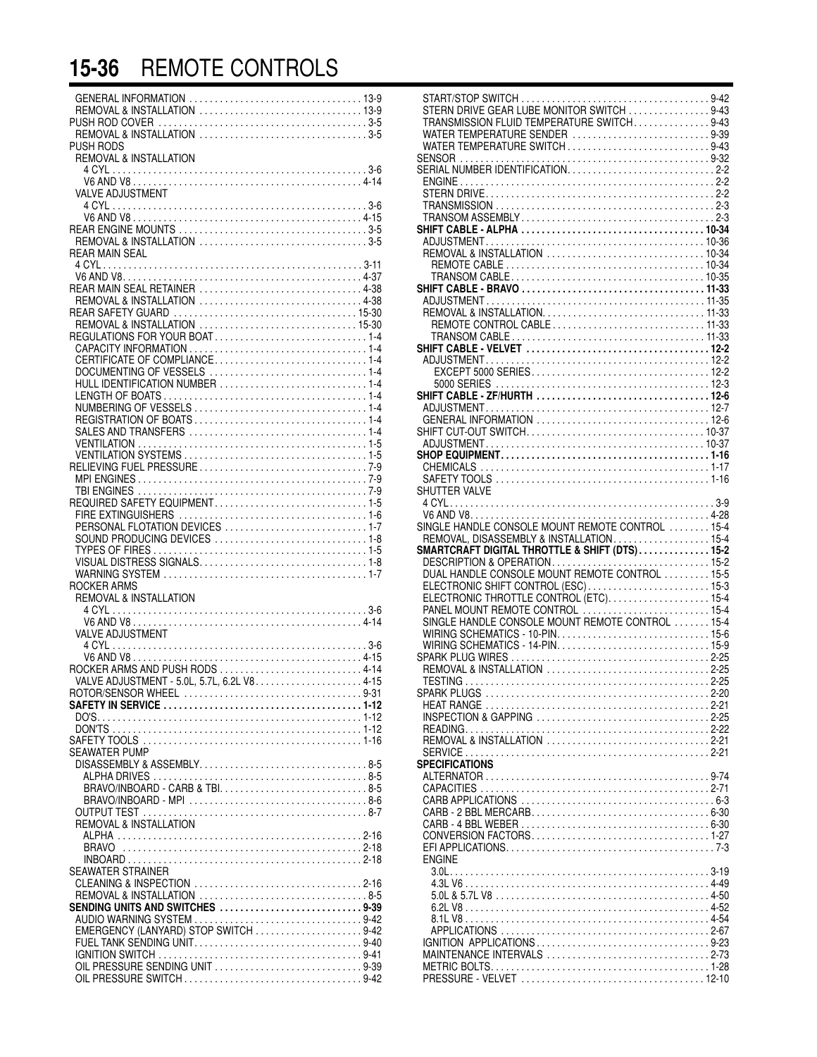# **15-36** REMOTE CONTROLS

| PUSH RODS<br><b>REMOVAL &amp; INSTALLATION</b>                          |  |
|-------------------------------------------------------------------------|--|
| <b>VALVE ADJUSTMENT</b>                                                 |  |
|                                                                         |  |
| <b>REAR MAIN SEAL</b>                                                   |  |
| REAR MAIN SEAL RETAINER 4-38                                            |  |
| REGULATIONS FOR YOUR BOAT1-4                                            |  |
|                                                                         |  |
|                                                                         |  |
|                                                                         |  |
|                                                                         |  |
| PERSONAL FLOTATION DEVICES  1-7                                         |  |
|                                                                         |  |
| ROCKER ARMS<br>REMOVAL & INSTALLATION                                   |  |
| <b>VALVE ADJUSTMENT</b>                                                 |  |
| ROCKER ARMS AND PUSH RODS 4-14                                          |  |
|                                                                         |  |
| SEAWATER PUMP<br>DISASSEMBLY & ASSEMBLY8-5                              |  |
|                                                                         |  |
| <b>REMOVAL &amp; INSTALLATION</b><br><b>BRAVO</b>                       |  |
| SEAWATER STRAINER                                                       |  |
| SENDING UNITS AND SWITCHES 9-39<br>EMERGENCY (LANYARD) STOP SWITCH 9-42 |  |
| FUEL TANK SENDING UNIT9-40<br>OIL PRESSURE SENDING UNIT 9-39            |  |
|                                                                         |  |

|                                          | TRANSMISSION FLUID TEMPERATURE SWITCH9-43                                           |  |
|------------------------------------------|-------------------------------------------------------------------------------------|--|
|                                          | WATER TEMPERATURE SENDER 9-39                                                       |  |
|                                          | WATER TEMPERATURE SWITCH9-43                                                        |  |
|                                          |                                                                                     |  |
|                                          |                                                                                     |  |
|                                          |                                                                                     |  |
|                                          |                                                                                     |  |
|                                          |                                                                                     |  |
|                                          |                                                                                     |  |
|                                          |                                                                                     |  |
|                                          |                                                                                     |  |
|                                          |                                                                                     |  |
|                                          |                                                                                     |  |
|                                          |                                                                                     |  |
|                                          |                                                                                     |  |
|                                          |                                                                                     |  |
|                                          |                                                                                     |  |
|                                          |                                                                                     |  |
|                                          |                                                                                     |  |
|                                          |                                                                                     |  |
|                                          |                                                                                     |  |
|                                          |                                                                                     |  |
|                                          |                                                                                     |  |
|                                          |                                                                                     |  |
|                                          |                                                                                     |  |
|                                          |                                                                                     |  |
|                                          |                                                                                     |  |
| SHUTTER VALVE                            |                                                                                     |  |
|                                          |                                                                                     |  |
|                                          |                                                                                     |  |
| REMOVAL, DISASSEMBLY & INSTALLATION 15-4 | SINGLE HANDLE CONSOLE MOUNT REMOTE CONTROL  15-4                                    |  |
|                                          |                                                                                     |  |
|                                          |                                                                                     |  |
|                                          | SMARTCRAFT DIGITAL THROTTLE & SHIFT (DTS) 15-2                                      |  |
|                                          |                                                                                     |  |
|                                          | ELECTRONIC SHIFT CONTROL (ESC) 15-3                                                 |  |
|                                          | ELECTRONIC THROTTLE CONTROL (ETC)15-4                                               |  |
|                                          | PANEL MOUNT REMOTE CONTROL  15-4                                                    |  |
|                                          | SINGLE HANDLE CONSOLE MOUNT REMOTE CONTROL  15-4<br>WIRING SCHEMATICS - 10-PIN 15-6 |  |
|                                          |                                                                                     |  |
|                                          |                                                                                     |  |
|                                          | REMOVAL & INSTALLATION 2-25                                                         |  |
|                                          |                                                                                     |  |
|                                          |                                                                                     |  |
|                                          | INSPECTION & GAPPING 2-25                                                           |  |
|                                          |                                                                                     |  |
|                                          | REMOVAL & INSTALLATION 2-21                                                         |  |
|                                          |                                                                                     |  |
| <b>SPECIFICATIONS</b>                    |                                                                                     |  |
|                                          |                                                                                     |  |
|                                          |                                                                                     |  |
|                                          |                                                                                     |  |
|                                          |                                                                                     |  |
|                                          |                                                                                     |  |
| <b>ENGINE</b>                            |                                                                                     |  |
|                                          |                                                                                     |  |
|                                          |                                                                                     |  |
|                                          |                                                                                     |  |
|                                          |                                                                                     |  |
|                                          |                                                                                     |  |
|                                          | IGNITION APPLICATIONS9-23                                                           |  |
|                                          | MAINTENANCE INTERVALS 2-73                                                          |  |
|                                          |                                                                                     |  |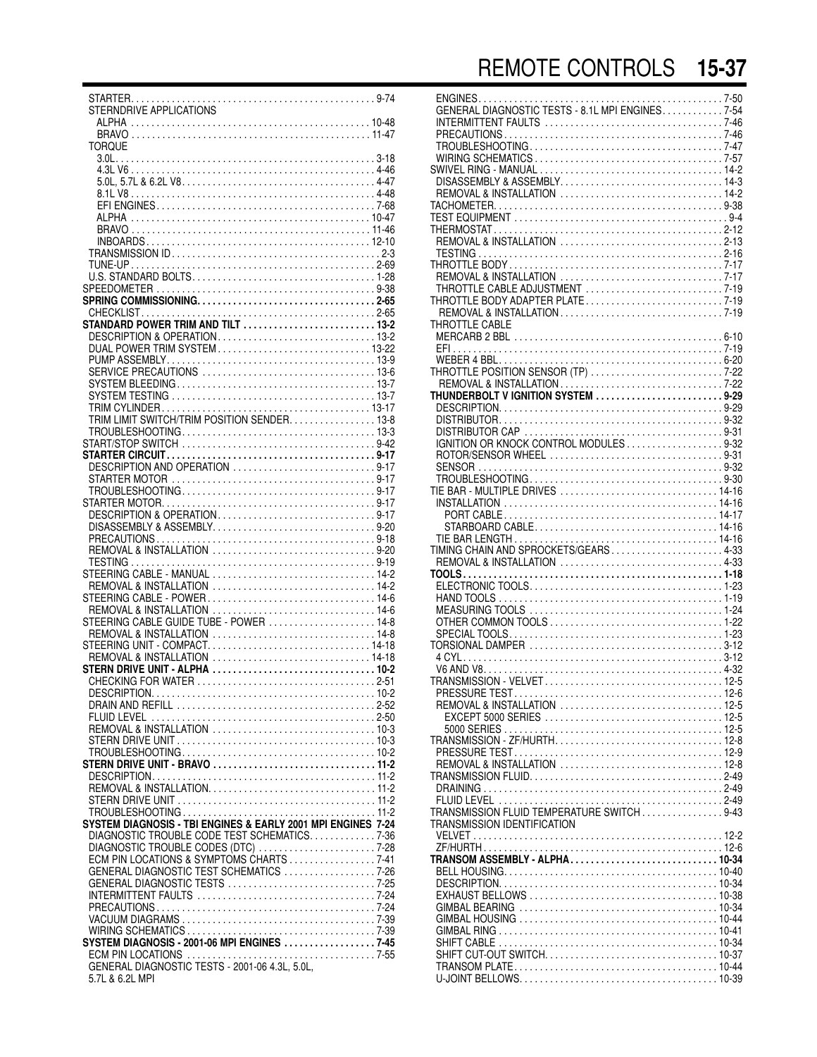STARTER. . . . . . . . . . . . . . . . . . . . . . . . . . . . . . . . . . . . . . . . . . . . . . . . 9-74 STERNDRIVE APPLICATIONS ALPHA . . . . . . . . . . . . . . . . . . . . . . . . . . . . . . . . . . . . . . . . . . . . . . . 10-48 BRAVO . . . . . . . . . . . . . . . . . . . . . . . . . . . . . . . . . . . . . . . . . . . . . . . 11-47 TOROLIE 3.0L. . . . . . . . . . . . . . . . . . . . . . . . . . . . . . . . . . . . . . . . . . . . . . . . . . . 3-18 4.3L V6 . . . . . . . . . . . . . . . . . . . . . . . . . . . . . . . . . . . . . . . . . . . . . . . . 4-46 5.0L, 5.7L & 6.2L V8. . . . . . . . . . . . . . . . . . . . . . . . . . . . . . . . . . . . . . 4-47 8.1L V8 . . . . . . . . . . . . . . . . . . . . . . . . . . . . . . . . . . . . . . . . . . . . . . . . 4-48 EFI ENGINES. . . . . . . . . . . . . . . . . . . . . . . . . . . . . . . . . . . . . . . . . . . 7-68 ALPHA . . . . . . . . . . . . . . . . . . . . . . . . . . . . . . . . . . . . . . . . . . . . . . . 10-47 BRAVO . . . . . . . . . . . . . . . . . . . . . . . . . . . . . . . . . . . . . . . . . . . . . . . 11-46 INBOARDS . . . . . . . . . . . . . . . . . . . . . . . . . . . . . . . . . . . . . . . . . . . . 12-10 TRANSMISSION ID . . . . . . . . . . . . . . . . . . . . . . . . . . . . . . . . . . . . . . . . . 2-3 TUNE-UP . . . . . . . . . . . . . . . . . . . . . . . . . . . . . . . . . . . . . . . . . . . . . . . . 2-69 U.S. STANDARD BOLTS. . . . . . . . . . . . . . . . . . . . . . . . . . . . . . . . . . . . 1-28 SPEEDOMETER . . . . . . . . . . . . . . . . . . . . . . . . . . . . . . . . . . . . . . . . . . . 9-38 **SPRING COMMISSIONING. . . . . . . . . . . . . . . . . . . . . . . . . . . . . . . . . . . 2-65** CHECKLIST. . . . . . . . . . . . . . . . . . . . . . . . . . . . . . . . . . . . . . . . . . . . . . 2-65 **STANDARD POWER TRIM AND TILT . . . . . . . . . . . . . . . . . . . . . . . . . . 13-2** DESCRIPTION & OPERATION . . . . . . . . . . . . . . . . . . . . . . . . . . . . . . . 13-2 DUAL POWER TRIM SYSTEM . . . . . . . . . . . . . . . . . . . . . . . . . . . . . . 13-22 PUMP ASSEMBLY. . . . . . . . . . . . . . . . . . . . . . . . . . . . . . . . . . . . . . . . . 13-9 SERVICE PRECAUTIONS . . . . . . . . . . . . . . . . . . . . . . . . . . . . . . . . . . 13-6 SYSTEM BLEEDING . . . . . . . . . . . . . . . . . . . . . . . . . . . . . . . . . . . . . . . 13-7 SYSTEM TESTING . . . . . . . . . . . . . . . . . . . . . . . . . . . . . . . . . . . . . . . . 13-7 TRIM CYLINDER . . . . . . . . . . . . . . . . . . . . . . . . . . . . . . . . . . . . . . . . . 13-17 TRIM LIMIT SWITCH/TRIM POSITION SENDER. . . . . . . . . . . . . . . . . 13-8 TROUBLESHOOTING. . . . . . . . . . . . . . . . . . . . . . . . . . . . . . . . . . . . . . 13-3 START/STOP SWITCH . . . . . . . . . . . . . . . . . . . . . . . . . . . . . . . . . . . . . . 9-42 **STARTER CIRCUIT . . . . . . . . . . . . . . . . . . . . . . . . . . . . . . . . . . . . . . . . . 9-17** DESCRIPTION AND OPERATION . . . . . . . . . . . . . . . . . . . . . . . . . . . . 9-17 STARTER MOTOR . . . . . . . . . . . . . . . . . . . . . . . . . . . . . . . . . . . . . . . . 9-17 TROUBLESHOOTING. . . . . . . . . . . . . . . . . . . . . . . . . . . . . . . . . . . . . . 9-17 STARTER MOTOR. . . . . . . . . . . . . . . . . . . . . . . . . . . . . . . . . . . . . . . . . . 9-17 DESCRIPTION & OPERATION . . . . . . . . . . . . . . . . . . . . . . . . . . . . . . . 9-17 DISASSEMBLY & ASSEMBLY. . . . . . . . . . . . . . . . . . . . . . . . . . . . . . . . 9-20 PRECAUTIONS . . . . . . . . . . . . . . . . . . . . . . . . . . . . . . . . . . . . . . . . . . . 9-18 REMOVAL & INSTALLATION . . . . . . . . . . . . . . . . . . . . . . . . . . . . . . . . 9-20 TESTING . . . . . . . . . . . . . . . . . . . . . . . . . . . . . . . . . . . . . . . . . . . . . . . . 9-19 STEERING CABLE - MANUAL . . . . . . . . . . . . . . . . . . . . . . . . . . . . . . . . 14-2 REMOVAL & INSTALLATION . . . . . . . . . . . . . . . . . . . . . . . . . . . . . . . . 14-2 STEERING CABLE - POWER . . . . . . . . . . . . . . . . . . . . . . . . . . . . . . . . . 14-6 REMOVAL & INSTALLATION . . . . . . . . . . . . . . . . . . . . . . . . . . . . . . . . 14-6 STEERING CABLE GUIDE TUBE - POWER . . . . . . . . . . . . . . . . . . . . . 14-8 REMOVAL & INSTALLATION . . . . . . . . . . . . . . . . . . . . . . . . . . . . . . . . 14-8 STEERING UNIT - COMPACT. . . . . . . . . . . . . . . . . . . . . . . . . . . . . . . . 14-18 REMOVAL & INSTALLATION . . . . . . . . . . . . . . . . . . . . . . . . . . . . . . . 14-18 **STERN DRIVE UNIT - ALPHA . . . . . . . . . . . . . . . . . . . . . . . . . . . . . . . . 10-2** CHECKING FOR WATER . . . . . . . . . . . . . . . . . . . . . . . . . . . . . . . . . . . 2-51 DESCRIPTION. . . . . . . . . . . . . . . . . . . . . . . . . . . . . . . . . . . . . . . . . . . . 10-2 DRAIN AND REFILL . . . . . . . . . . . . . . . . . . . . . . . . . . . . . . . . . . . . . . . 2-52 FLUID LEVEL . . . . . . . . . . . . . . . . . . . . . . . . . . . . . . . . . . . . . . . . . . . . 2-50 REMOVAL & INSTALLATION . . . . . . . . . . . . . . . . . . . . . . . . . . . . . . . . 10-3 STERN DRIVE UNIT . . . . . . . . . . . . . . . . . . . . . . . . . . . . . . . . . . . . . . . 10-3 TROUBLESHOOTING. . . . . . . . . . . . . . . . . . . . . . . . . . . . . . . . . . . . . . 10-2 **STERN DRIVE UNIT - BRAVO . . . . . . . . . . . . . . . . . . . . . . . . . . . . . . . . 11-2** DESCRIPTION. . . . . . . . . . . . . . . . . . . . . . . . . . . . . . . . . . . . . . . . . . . . 11-2 REMOVAL & INSTALLATION. . . . . . . . . . . . . . . . . . . . . . . . . . . . . . . . . 11-2 STERN DRIVE UNIT . . . . . . . . . . . . . . . . . . . . . . . . . . . . . . . . . . . . . . . 11-2 TROUBLESHOOTING . . . . . . . . . . . . . . . . . . . . . . . . . . . . . . . . . . . . . . 11-2 **SYSTEM DIAGNOSIS - TBI ENGINES & EARLY 2001 MPI ENGINES 7-24** DIAGNOSTIC TROUBLE CODE TEST SCHEMATICS. . . . . . . . . . . . . 7-36 DIAGNOSTIC TROUBLE CODES (DTC) . . . . . . . . . . . . . . . . . . . . . . . 7-28 ECM PIN LOCATIONS & SYMPTOMS CHARTS . . . . . . . . . . . . . . . . . 7-41 GENERAL DIAGNOSTIC TEST SCHEMATICS . . . . . . . . . . . . . . . . . . 7-26 GENERAL DIAGNOSTIC TESTS . . . . . . . . . . . . . . . . . . . . . . . . . . . . . 7-25 INTERMITTENT FAULTS . . . . . . . . . . . . . . . . . . . . . . . . . . . . . . . . . . . 7-24 PRECAUTIONS . . . . . . . . . . . . . . . . . . . . . . . . . . . . . . . . . . . . . . . . . . . 7-24 VACUUM DIAGRAMS . . . . . . . . . . . . . . . . . . . . . . . . . . . . . . . . . . . . . . 7-39 WIRING SCHEMATICS . . . . . . . . . . . . . . . . . . . . . . . . . . . . . . . . . . . . . 7-39 **SYSTEM DIAGNOSIS - 2001-06 MPI ENGINES . . . . . . . . . . . . . . . . . . 7-45** ECM PIN LOCATIONS . . . . . . . . . . . . . . . . . . . . . . . . . . . . . . . . . . . . . 7-55 GENERAL DIAGNOSTIC TESTS - 2001-06 4.3L, 5.0L, 5.7L & 6.2L MPI

| REMOVAL & INSTALLATION  14-2                             |  |
|----------------------------------------------------------|--|
|                                                          |  |
|                                                          |  |
|                                                          |  |
|                                                          |  |
|                                                          |  |
|                                                          |  |
|                                                          |  |
|                                                          |  |
|                                                          |  |
|                                                          |  |
| THROTTLE BODY ADAPTER PLATE7-19                          |  |
|                                                          |  |
| THROTTLE CABLE                                           |  |
|                                                          |  |
|                                                          |  |
|                                                          |  |
|                                                          |  |
| THROTTLE POSITION SENSOR (TP) 7-22                       |  |
|                                                          |  |
| THUNDERBOLT V IGNITION SYSTEM 9-29                       |  |
|                                                          |  |
|                                                          |  |
|                                                          |  |
| DISTRIBUTOR CAP<br>IGNITION OR KNOCK CONTROL MODULES9-32 |  |
|                                                          |  |
|                                                          |  |
|                                                          |  |
|                                                          |  |
|                                                          |  |
| TIE BAR - MULTIPLE DRIVES  14-16                         |  |
|                                                          |  |
|                                                          |  |
|                                                          |  |
|                                                          |  |
|                                                          |  |
| TIMING CHAIN AND SPROCKETS/GEARS4-33                     |  |
| REMOVAL & INSTALLATION  4-33                             |  |
|                                                          |  |
|                                                          |  |
|                                                          |  |
|                                                          |  |
|                                                          |  |
|                                                          |  |
|                                                          |  |
|                                                          |  |
|                                                          |  |
|                                                          |  |
|                                                          |  |
|                                                          |  |
|                                                          |  |
|                                                          |  |
|                                                          |  |
|                                                          |  |
|                                                          |  |
|                                                          |  |
|                                                          |  |
|                                                          |  |
|                                                          |  |
|                                                          |  |
|                                                          |  |
|                                                          |  |
| TRANSMISSION FLUID TEMPERATURE SWITCH 9-43               |  |
| TRANSMISSION IDENTIFICATION                              |  |
|                                                          |  |
|                                                          |  |
|                                                          |  |
|                                                          |  |
|                                                          |  |
|                                                          |  |
|                                                          |  |
|                                                          |  |
|                                                          |  |
|                                                          |  |
|                                                          |  |
|                                                          |  |
|                                                          |  |
|                                                          |  |
|                                                          |  |
|                                                          |  |